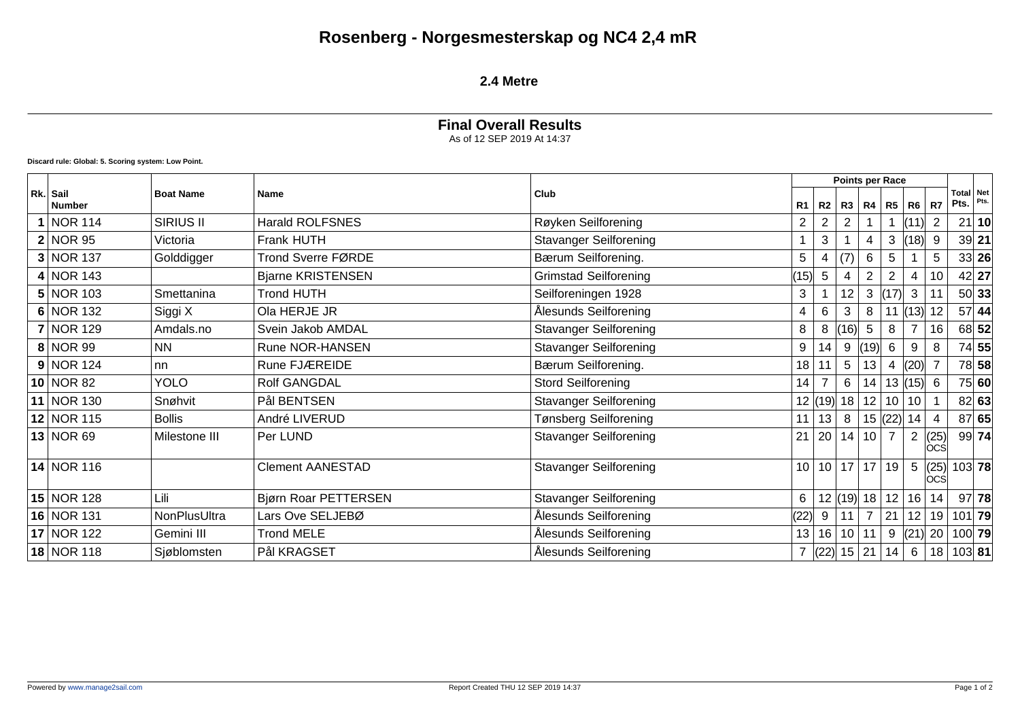# **Rosenberg - Norgesmesterskap og NC4 2,4 mR**

#### **2.4 Metre**

## **Final Overall Results** As of 12 SEP 2019 At 14:37

**Discard rule: Global: 5. Scoring system: Low Point.**

|  |                           |                  |                          | Club                          |                 |                |                | Points per Race |                |              |               |                           |         |
|--|---------------------------|------------------|--------------------------|-------------------------------|-----------------|----------------|----------------|-----------------|----------------|--------------|---------------|---------------------------|---------|
|  | Rk. Sail<br><b>Number</b> | <b>Boat Name</b> | Name                     |                               | R1              | R2             | R3             |                 | $R4$ $R5$ $R6$ |              | R7            | Total Net<br>Pts.         | Pts.    |
|  | 1 NOR 114                 | <b>SIRIUS II</b> | <b>Harald ROLFSNES</b>   | Røyken Seilforening           | $\overline{c}$  | $\overline{2}$ |                |                 |                | (11)         | 2             | 21                        | 10      |
|  | 2 NOR95                   | Victoria         | Frank HUTH               | <b>Stavanger Seilforening</b> |                 | 3              |                |                 | 3              | (18)         | 9             |                           | $39$ 21 |
|  | 3 NOR 137                 | Golddigger       | Trond Sverre FØRDE       | Bærum Seilforening.           | 5               | 4              | (7)            | 6               | 5              |              | 5             |                           | 33 26   |
|  | $4 NOR$ 143               |                  | <b>Bjarne KRISTENSEN</b> | <b>Grimstad Seilforening</b>  | (15)            | $\overline{5}$ |                |                 |                | 4            | 10            |                           | $42$ 27 |
|  | $5 NOR$ 103               | Smettanina       | <b>Trond HUTH</b>        | Seilforeningen 1928           | $\mathbf{3}$    |                | 12             | 3               | (17)           | 3            | 11            |                           | 50 33   |
|  | 6 NOR 132                 | Siggi X          | Ola HERJE JR             | Ålesunds Seilforening         | 4               | 6              | 3              | 8               |                | (13) 12      |               | 57                        | 44      |
|  | <b>7 NOR 129</b>          | Amdals.no        | Svein Jakob AMDAL        | <b>Stavanger Seilforening</b> | 8               | 8              | (16)           | $5\phantom{.0}$ | 8              |              | 16            |                           | 68 52   |
|  | 8 NOR 99                  | NN.              | Rune NOR-HANSEN          | <b>Stavanger Seilforening</b> | 9               | 14             | 9              | (19)            | 6              | 9            | 8             |                           | 74 55   |
|  | 9 NOR 124                 | nn               | Rune FJÆREIDE            | Bærum Seilforening.           | 18              | 11             | 5              | 13              | 4              | (20)         |               |                           | 78 58   |
|  | 10 NOR 82                 | <b>YOLO</b>      | Rolf GANGDAL             | <b>Stord Seilforening</b>     | 14              |                | 6              | 14 <sup>1</sup> |                | 13  (15)   6 |               |                           | 75 60   |
|  | 11 NOR 130                | Snøhvit          | Pål BENTSEN              | <b>Stavanger Seilforening</b> |                 |                | 12  (19)  18   | 12              | 10             | 10           |               |                           | 82 63   |
|  | 12 NOR 115                | <b>Bollis</b>    | André LIVERUD            | Tønsberg Seilforening         | 11              | 13             | 8              |                 | 15  (22)       | 14           | 4             |                           | 87 65   |
|  | 13 NOR69                  | Milestone III    | Per LUND                 | <b>Stavanger Seilforening</b> | 21              | 20             | 14             | 10 <sup>1</sup> | $\overline{7}$ | 2            | (25)<br>locsl |                           | 99 74   |
|  | 14 NOR 116                |                  | <b>Clement AANESTAD</b>  | <b>Stavanger Seilforening</b> | 10 <sup>1</sup> |                | $10$   17   17 |                 | 19             | 5            | (25)<br>locsl | 103 78                    |         |
|  | $15$ NOR 128              | Lili             | Bjørn Roar PETTERSEN     | <b>Stavanger Seilforening</b> | 6               |                | 12  (19)  18   |                 | 12             | 16           | 14            |                           | $97$ 78 |
|  | 16 NOR 131                | NonPlusUltra     | Lars Ove SELJEBØ         | Ålesunds Seilforening         | (22)            | 9              | 11             | $\overline{7}$  | 21             | 12           | 19            | $101$ 79                  |         |
|  | 17 NOR 122                | Gemini III       | <b>Trond MELE</b>        | Ålesunds Seilforening         | 13              | 16             | 10             | 11              |                |              |               | 9 $ (21)  20   100   79 $ |         |
|  | 18 NOR 118                | Sjøblomsten      | Pål KRAGSET              | Ålesunds Seilforening         | $7^{\circ}$     | (22)           | 15 21          |                 | 14             | 6            | 18            | $103$ 81                  |         |